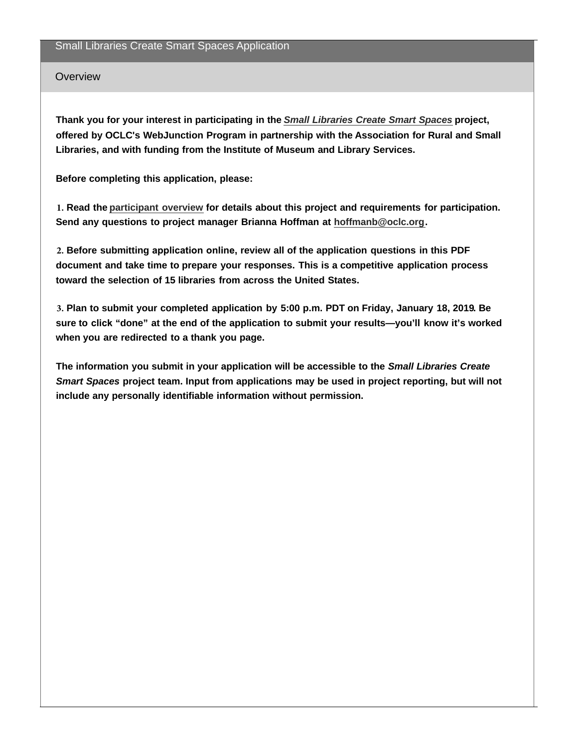## **Overview**

**Thank you for your interest in participating in the** *[Small Libraries Create Smart Spaces](http://www.webjunction.org/explore-topics/smart-spaces.html)* **project, offered by OCLC's WebJunction Program in partnership with the Association for Rural and Small Libraries, and with funding from the Institute of Museum and Library Services.**

**Before completing this application, please:**

**1. Read the [participant overview](https://www.webjunction.org/news/webjunction/smart-spaces-participant-overview.html) for details about this project and requirements for participation. Send any questions to project manager Brianna Hoffman at [hoffmanb@oclc.org](mailto:hoffmanb@oclc.org).**

**2. Before submitting application online, review all of the application questions in this PDF document and take time to prepare your responses. This is a competitive application process toward the selection of 15 libraries from across the United States.**

**3. Plan to submit your completed application by 5:00 p.m. PDT on Friday, January 18, 2019. Be sure to click "done" at the end of the application to submit your results—you'll know it's worked when you are redirected to a thank you page.**

**The information you submit in your application will be accessible to the** *Small Libraries Create Smart Spaces* **project team. Input from applications may be used in project reporting, but will not include any personally identifiable information without permission.**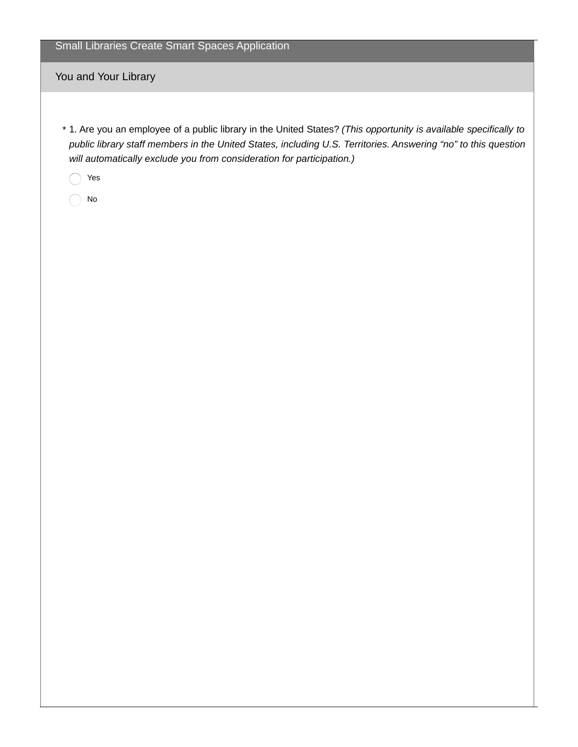Small Libraries Create Smart Spaces Application

You and Your Library

1. Are you an employee of a public library in the United States? *(This opportunity is available specifically to* \* *public library staff members in the United States, including U.S. Territories. Answering "no" to this question will automatically exclude you from consideration for participation.)*

Yes

No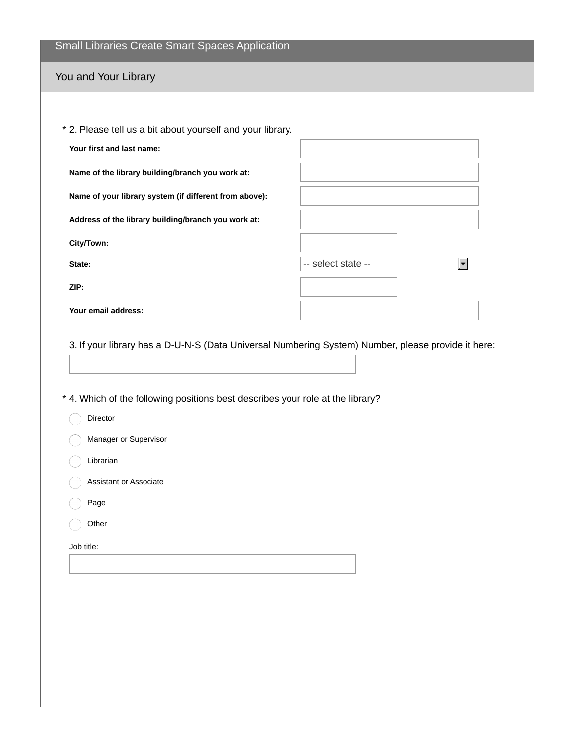| Small Libraries Create Smart Spaces Application |  |  |
|-------------------------------------------------|--|--|
|                                                 |  |  |

## You and Your Library

| * 2. Please tell us a bit about yourself and your library. |                    |
|------------------------------------------------------------|--------------------|
| Your first and last name:                                  |                    |
| Name of the library building/branch you work at:           |                    |
| Name of your library system (if different from above):     |                    |
| Address of the library building/branch you work at:        |                    |
| City/Town:                                                 |                    |
| State:                                                     | -- select state -- |
| ZIP:                                                       |                    |
| Your email address:                                        |                    |

3. If your library has a D-U-N-S (Data Universal Numbering System) Number, please provide it here:

\* 4. Which of the following positions best describes your role at the library?

- Director
- **Manager or Supervisor**
- C Librarian
- Assistant or Associate
- Page
- Other $(\quad)$

Job title: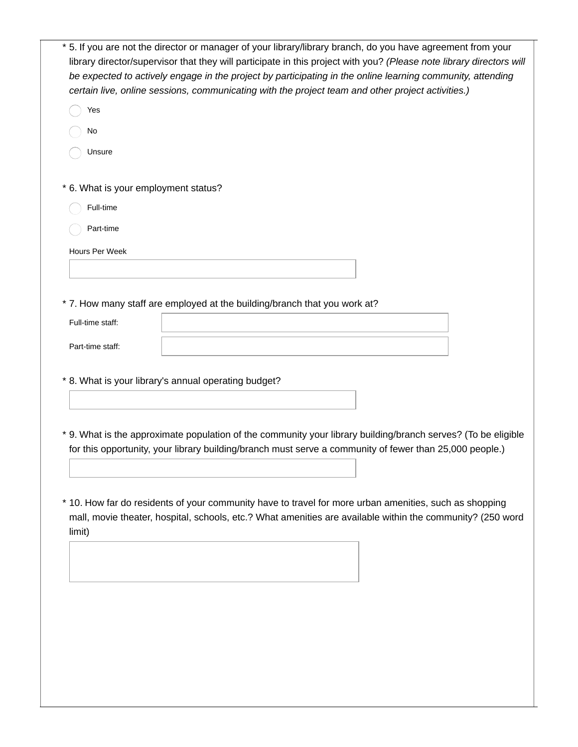| * 5. If you are not the director or manager of your library/library branch, do you have agreement from your<br>library director/supervisor that they will participate in this project with you? (Please note library directors will<br>be expected to actively engage in the project by participating in the online learning community, attending |
|---------------------------------------------------------------------------------------------------------------------------------------------------------------------------------------------------------------------------------------------------------------------------------------------------------------------------------------------------|
| certain live, online sessions, communicating with the project team and other project activities.)                                                                                                                                                                                                                                                 |
| Yes                                                                                                                                                                                                                                                                                                                                               |
| No                                                                                                                                                                                                                                                                                                                                                |
| Unsure                                                                                                                                                                                                                                                                                                                                            |
| * 6. What is your employment status?                                                                                                                                                                                                                                                                                                              |
| Full-time                                                                                                                                                                                                                                                                                                                                         |
| Part-time                                                                                                                                                                                                                                                                                                                                         |
| Hours Per Week                                                                                                                                                                                                                                                                                                                                    |
|                                                                                                                                                                                                                                                                                                                                                   |
| * 7. How many staff are employed at the building/branch that you work at?                                                                                                                                                                                                                                                                         |
| Full-time staff:                                                                                                                                                                                                                                                                                                                                  |
| Part-time staff:                                                                                                                                                                                                                                                                                                                                  |
|                                                                                                                                                                                                                                                                                                                                                   |
| * 8. What is your library's annual operating budget?                                                                                                                                                                                                                                                                                              |
|                                                                                                                                                                                                                                                                                                                                                   |
|                                                                                                                                                                                                                                                                                                                                                   |
| * 9. What is the approximate population of the community your library building/branch serves? (To be eligible<br>for this opportunity, your library building/branch must serve a community of fewer than 25,000 people.)                                                                                                                          |
|                                                                                                                                                                                                                                                                                                                                                   |
|                                                                                                                                                                                                                                                                                                                                                   |
| * 10. How far do residents of your community have to travel for more urban amenities, such as shopping<br>mall, movie theater, hospital, schools, etc.? What amenities are available within the community? (250 word<br>limit)                                                                                                                    |
|                                                                                                                                                                                                                                                                                                                                                   |
|                                                                                                                                                                                                                                                                                                                                                   |
|                                                                                                                                                                                                                                                                                                                                                   |
|                                                                                                                                                                                                                                                                                                                                                   |
|                                                                                                                                                                                                                                                                                                                                                   |
|                                                                                                                                                                                                                                                                                                                                                   |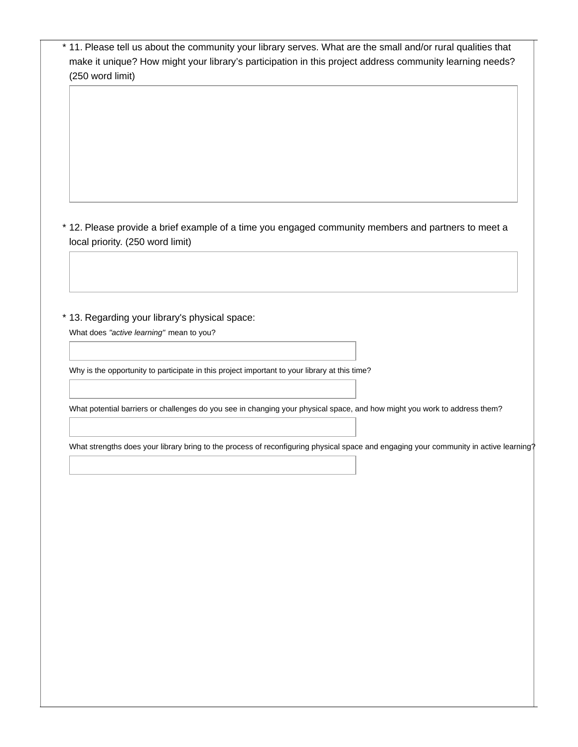| (250 word limit)                 |                                                                                               |                                                                                                                                       |
|----------------------------------|-----------------------------------------------------------------------------------------------|---------------------------------------------------------------------------------------------------------------------------------------|
|                                  |                                                                                               |                                                                                                                                       |
|                                  |                                                                                               |                                                                                                                                       |
|                                  |                                                                                               |                                                                                                                                       |
|                                  |                                                                                               |                                                                                                                                       |
|                                  |                                                                                               |                                                                                                                                       |
|                                  |                                                                                               |                                                                                                                                       |
|                                  |                                                                                               |                                                                                                                                       |
|                                  |                                                                                               | * 12. Please provide a brief example of a time you engaged community members and partners to meet a                                   |
| local priority. (250 word limit) |                                                                                               |                                                                                                                                       |
|                                  |                                                                                               |                                                                                                                                       |
|                                  |                                                                                               |                                                                                                                                       |
|                                  |                                                                                               |                                                                                                                                       |
|                                  | * 13. Regarding your library's physical space:                                                |                                                                                                                                       |
|                                  | What does "active learning" mean to you?                                                      |                                                                                                                                       |
|                                  |                                                                                               |                                                                                                                                       |
|                                  | Why is the opportunity to participate in this project important to your library at this time? |                                                                                                                                       |
|                                  |                                                                                               |                                                                                                                                       |
|                                  |                                                                                               | What potential barriers or challenges do you see in changing your physical space, and how might you work to address them?             |
|                                  |                                                                                               |                                                                                                                                       |
|                                  |                                                                                               | What strengths does your library bring to the process of reconfiguring physical space and engaging your community in active learning? |
|                                  |                                                                                               |                                                                                                                                       |
|                                  |                                                                                               |                                                                                                                                       |
|                                  |                                                                                               |                                                                                                                                       |
|                                  |                                                                                               |                                                                                                                                       |
|                                  |                                                                                               |                                                                                                                                       |
|                                  |                                                                                               |                                                                                                                                       |
|                                  |                                                                                               |                                                                                                                                       |
|                                  |                                                                                               |                                                                                                                                       |
|                                  |                                                                                               |                                                                                                                                       |
|                                  |                                                                                               |                                                                                                                                       |
|                                  |                                                                                               |                                                                                                                                       |
|                                  |                                                                                               |                                                                                                                                       |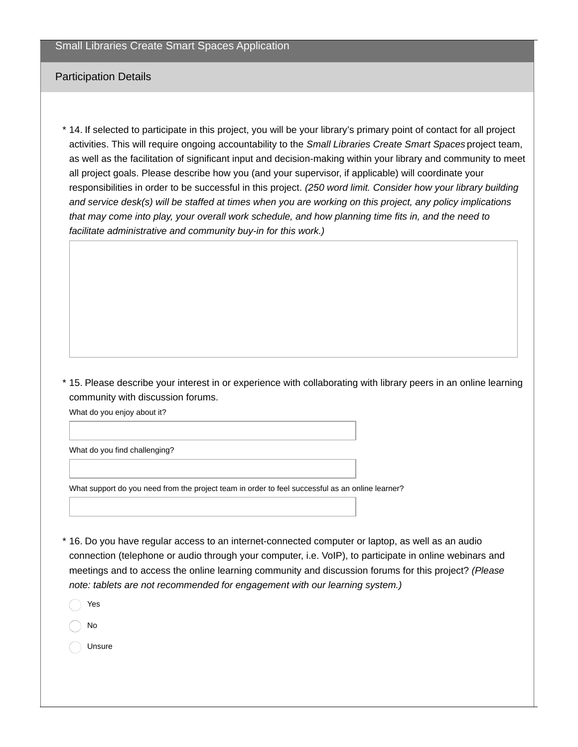## Participation Details

14. If selected to participate in this project, you will be your library's primary point of contact for all project \* activities. This will require ongoing accountability to the *Small Libraries Create Smart Spaces* project team, as well as the facilitation of significant input and decision-making within your library and community to meet all project goals. Please describe how you (and your supervisor, if applicable) will coordinate your responsibilities in order to be successful in this project. *(250 word limit. Consider how your library building and service desk(s) will be staffed at times when you are working on this project, any policy implications that may come into play, your overall work schedule, and how planning time fits in, and the need to facilitate administrative and community buy-in for this work.)*

15. Please describe your interest in or experience with collaborating with library peers in an online learning \* community with discussion forums.

What do you enjoy about it?

What do you find challenging?

What support do you need from the project team in order to feel successful as an online learner?

- $*$  16. Do you have regular access to an internet-connected computer or laptop, as well as an audio connection (telephone or audio through your computer, i.e. VoIP), to participate in online webinars and meetings and to access the online learning community and discussion forums for this project? *(Please note: tablets are not recommended for engagement with our learning system.)*
	- Yes
	- No
	- Unsure